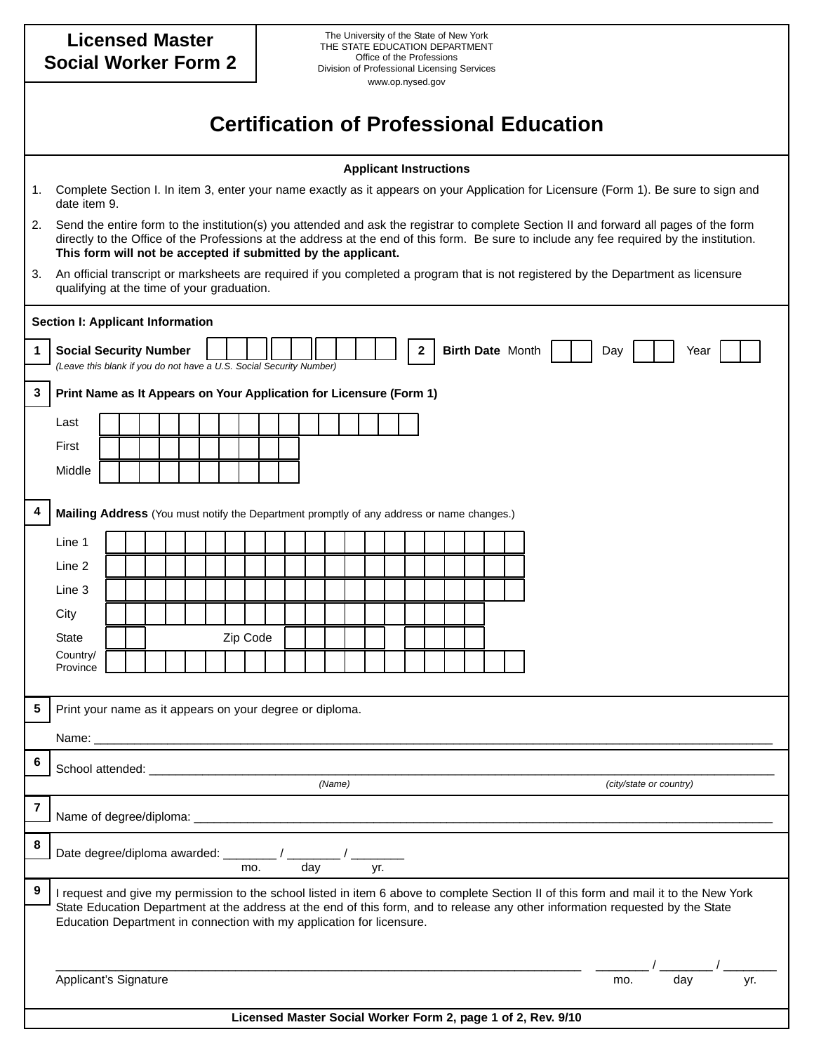| <b>Licensed Master</b><br><b>Social Worker Form 2</b>                                                                                                                                                                                                                                                                                                 |                                                                                                                                                                                                                                                                                                                                                      |  |  |  |  |  |  |  |          | The University of the State of New York<br>THE STATE EDUCATION DEPARTMENT<br>Office of the Professions<br>Division of Professional Licensing Services<br>www.op.nysed.gov |                                                              |  |        |  |  |  |  |  |  |  |  |  |  |  |                         |  |     |  |     |  |
|-------------------------------------------------------------------------------------------------------------------------------------------------------------------------------------------------------------------------------------------------------------------------------------------------------------------------------------------------------|------------------------------------------------------------------------------------------------------------------------------------------------------------------------------------------------------------------------------------------------------------------------------------------------------------------------------------------------------|--|--|--|--|--|--|--|----------|---------------------------------------------------------------------------------------------------------------------------------------------------------------------------|--------------------------------------------------------------|--|--------|--|--|--|--|--|--|--|--|--|--|--|-------------------------|--|-----|--|-----|--|
|                                                                                                                                                                                                                                                                                                                                                       | <b>Certification of Professional Education</b>                                                                                                                                                                                                                                                                                                       |  |  |  |  |  |  |  |          |                                                                                                                                                                           |                                                              |  |        |  |  |  |  |  |  |  |  |  |  |  |                         |  |     |  |     |  |
|                                                                                                                                                                                                                                                                                                                                                       | <b>Applicant Instructions</b>                                                                                                                                                                                                                                                                                                                        |  |  |  |  |  |  |  |          |                                                                                                                                                                           |                                                              |  |        |  |  |  |  |  |  |  |  |  |  |  |                         |  |     |  |     |  |
| 1.                                                                                                                                                                                                                                                                                                                                                    | Complete Section I. In item 3, enter your name exactly as it appears on your Application for Licensure (Form 1). Be sure to sign and<br>date item 9.                                                                                                                                                                                                 |  |  |  |  |  |  |  |          |                                                                                                                                                                           |                                                              |  |        |  |  |  |  |  |  |  |  |  |  |  |                         |  |     |  |     |  |
| 2.                                                                                                                                                                                                                                                                                                                                                    | Send the entire form to the institution(s) you attended and ask the registrar to complete Section II and forward all pages of the form<br>directly to the Office of the Professions at the address at the end of this form. Be sure to include any fee required by the institution.<br>This form will not be accepted if submitted by the applicant. |  |  |  |  |  |  |  |          |                                                                                                                                                                           |                                                              |  |        |  |  |  |  |  |  |  |  |  |  |  |                         |  |     |  |     |  |
| 3.                                                                                                                                                                                                                                                                                                                                                    | An official transcript or marksheets are required if you completed a program that is not registered by the Department as licensure<br>qualifying at the time of your graduation.                                                                                                                                                                     |  |  |  |  |  |  |  |          |                                                                                                                                                                           |                                                              |  |        |  |  |  |  |  |  |  |  |  |  |  |                         |  |     |  |     |  |
|                                                                                                                                                                                                                                                                                                                                                       | <b>Section I: Applicant Information</b>                                                                                                                                                                                                                                                                                                              |  |  |  |  |  |  |  |          |                                                                                                                                                                           |                                                              |  |        |  |  |  |  |  |  |  |  |  |  |  |                         |  |     |  |     |  |
| 1                                                                                                                                                                                                                                                                                                                                                     | Birth Date Month<br>2<br><b>Social Security Number</b><br>Day<br>Year<br>(Leave this blank if you do not have a U.S. Social Security Number)                                                                                                                                                                                                         |  |  |  |  |  |  |  |          |                                                                                                                                                                           |                                                              |  |        |  |  |  |  |  |  |  |  |  |  |  |                         |  |     |  |     |  |
| 3                                                                                                                                                                                                                                                                                                                                                     | Print Name as It Appears on Your Application for Licensure (Form 1)                                                                                                                                                                                                                                                                                  |  |  |  |  |  |  |  |          |                                                                                                                                                                           |                                                              |  |        |  |  |  |  |  |  |  |  |  |  |  |                         |  |     |  |     |  |
|                                                                                                                                                                                                                                                                                                                                                       | Last                                                                                                                                                                                                                                                                                                                                                 |  |  |  |  |  |  |  |          |                                                                                                                                                                           |                                                              |  |        |  |  |  |  |  |  |  |  |  |  |  |                         |  |     |  |     |  |
|                                                                                                                                                                                                                                                                                                                                                       | First                                                                                                                                                                                                                                                                                                                                                |  |  |  |  |  |  |  |          |                                                                                                                                                                           |                                                              |  |        |  |  |  |  |  |  |  |  |  |  |  |                         |  |     |  |     |  |
|                                                                                                                                                                                                                                                                                                                                                       | Middle                                                                                                                                                                                                                                                                                                                                               |  |  |  |  |  |  |  |          |                                                                                                                                                                           |                                                              |  |        |  |  |  |  |  |  |  |  |  |  |  |                         |  |     |  |     |  |
| 4                                                                                                                                                                                                                                                                                                                                                     | Mailing Address (You must notify the Department promptly of any address or name changes.)                                                                                                                                                                                                                                                            |  |  |  |  |  |  |  |          |                                                                                                                                                                           |                                                              |  |        |  |  |  |  |  |  |  |  |  |  |  |                         |  |     |  |     |  |
|                                                                                                                                                                                                                                                                                                                                                       | Line 1                                                                                                                                                                                                                                                                                                                                               |  |  |  |  |  |  |  |          |                                                                                                                                                                           |                                                              |  |        |  |  |  |  |  |  |  |  |  |  |  |                         |  |     |  |     |  |
|                                                                                                                                                                                                                                                                                                                                                       | Line 2                                                                                                                                                                                                                                                                                                                                               |  |  |  |  |  |  |  |          |                                                                                                                                                                           |                                                              |  |        |  |  |  |  |  |  |  |  |  |  |  |                         |  |     |  |     |  |
|                                                                                                                                                                                                                                                                                                                                                       | Line 3                                                                                                                                                                                                                                                                                                                                               |  |  |  |  |  |  |  |          |                                                                                                                                                                           |                                                              |  |        |  |  |  |  |  |  |  |  |  |  |  |                         |  |     |  |     |  |
|                                                                                                                                                                                                                                                                                                                                                       | City                                                                                                                                                                                                                                                                                                                                                 |  |  |  |  |  |  |  |          |                                                                                                                                                                           |                                                              |  |        |  |  |  |  |  |  |  |  |  |  |  |                         |  |     |  |     |  |
|                                                                                                                                                                                                                                                                                                                                                       | <b>State</b>                                                                                                                                                                                                                                                                                                                                         |  |  |  |  |  |  |  | Zip Code |                                                                                                                                                                           |                                                              |  |        |  |  |  |  |  |  |  |  |  |  |  |                         |  |     |  |     |  |
|                                                                                                                                                                                                                                                                                                                                                       | Country/<br>Province                                                                                                                                                                                                                                                                                                                                 |  |  |  |  |  |  |  |          |                                                                                                                                                                           |                                                              |  |        |  |  |  |  |  |  |  |  |  |  |  |                         |  |     |  |     |  |
|                                                                                                                                                                                                                                                                                                                                                       |                                                                                                                                                                                                                                                                                                                                                      |  |  |  |  |  |  |  |          |                                                                                                                                                                           |                                                              |  |        |  |  |  |  |  |  |  |  |  |  |  |                         |  |     |  |     |  |
| 5                                                                                                                                                                                                                                                                                                                                                     | Print your name as it appears on your degree or diploma.                                                                                                                                                                                                                                                                                             |  |  |  |  |  |  |  |          |                                                                                                                                                                           |                                                              |  |        |  |  |  |  |  |  |  |  |  |  |  |                         |  |     |  |     |  |
|                                                                                                                                                                                                                                                                                                                                                       |                                                                                                                                                                                                                                                                                                                                                      |  |  |  |  |  |  |  |          |                                                                                                                                                                           |                                                              |  |        |  |  |  |  |  |  |  |  |  |  |  |                         |  |     |  |     |  |
| 6                                                                                                                                                                                                                                                                                                                                                     |                                                                                                                                                                                                                                                                                                                                                      |  |  |  |  |  |  |  |          |                                                                                                                                                                           |                                                              |  |        |  |  |  |  |  |  |  |  |  |  |  |                         |  |     |  |     |  |
|                                                                                                                                                                                                                                                                                                                                                       |                                                                                                                                                                                                                                                                                                                                                      |  |  |  |  |  |  |  |          |                                                                                                                                                                           |                                                              |  | (Name) |  |  |  |  |  |  |  |  |  |  |  | (city/state or country) |  |     |  |     |  |
| 7                                                                                                                                                                                                                                                                                                                                                     |                                                                                                                                                                                                                                                                                                                                                      |  |  |  |  |  |  |  |          |                                                                                                                                                                           |                                                              |  |        |  |  |  |  |  |  |  |  |  |  |  |                         |  |     |  |     |  |
| 8                                                                                                                                                                                                                                                                                                                                                     | day<br>yr.<br>mo.                                                                                                                                                                                                                                                                                                                                    |  |  |  |  |  |  |  |          |                                                                                                                                                                           |                                                              |  |        |  |  |  |  |  |  |  |  |  |  |  |                         |  |     |  |     |  |
| 9<br>I request and give my permission to the school listed in item 6 above to complete Section II of this form and mail it to the New York<br>State Education Department at the address at the end of this form, and to release any other information requested by the State<br>Education Department in connection with my application for licensure. |                                                                                                                                                                                                                                                                                                                                                      |  |  |  |  |  |  |  |          |                                                                                                                                                                           |                                                              |  |        |  |  |  |  |  |  |  |  |  |  |  |                         |  |     |  |     |  |
|                                                                                                                                                                                                                                                                                                                                                       | Applicant's Signature                                                                                                                                                                                                                                                                                                                                |  |  |  |  |  |  |  |          |                                                                                                                                                                           |                                                              |  |        |  |  |  |  |  |  |  |  |  |  |  | mo.                     |  | day |  | yr. |  |
|                                                                                                                                                                                                                                                                                                                                                       |                                                                                                                                                                                                                                                                                                                                                      |  |  |  |  |  |  |  |          |                                                                                                                                                                           | Licensed Master Social Worker Form 2, page 1 of 2, Rev. 9/10 |  |        |  |  |  |  |  |  |  |  |  |  |  |                         |  |     |  |     |  |